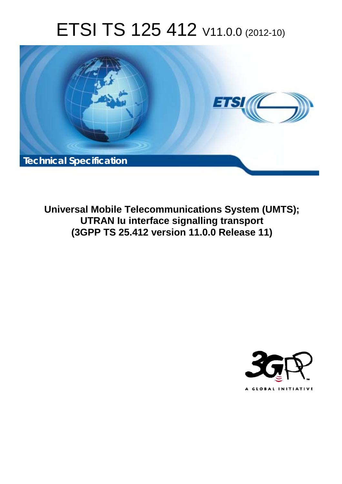# ETSI TS 125 412 V11.0.0 (2012-10)



**Universal Mobile Telecommunications System (UMTS); UTRAN Iu interface signalling transport (3GPP TS 25.412 version 11.0.0 Release 11)** 

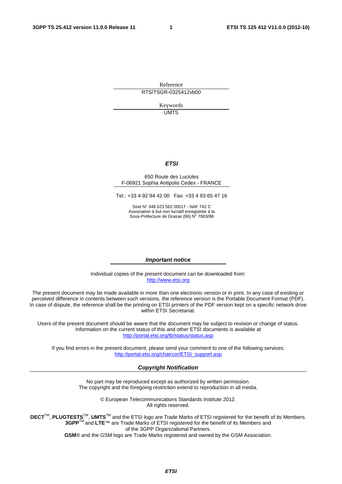Reference RTS/TSGR-0325412vb00

> Keywords UMTS

#### *ETSI*

#### 650 Route des Lucioles F-06921 Sophia Antipolis Cedex - FRANCE

Tel.: +33 4 92 94 42 00 Fax: +33 4 93 65 47 16

Siret N° 348 623 562 00017 - NAF 742 C Association à but non lucratif enregistrée à la Sous-Préfecture de Grasse (06) N° 7803/88

#### *Important notice*

Individual copies of the present document can be downloaded from: [http://www.etsi.org](http://www.etsi.org/)

The present document may be made available in more than one electronic version or in print. In any case of existing or perceived difference in contents between such versions, the reference version is the Portable Document Format (PDF). In case of dispute, the reference shall be the printing on ETSI printers of the PDF version kept on a specific network drive within ETSI Secretariat.

Users of the present document should be aware that the document may be subject to revision or change of status. Information on the current status of this and other ETSI documents is available at <http://portal.etsi.org/tb/status/status.asp>

If you find errors in the present document, please send your comment to one of the following services: [http://portal.etsi.org/chaircor/ETSI\\_support.asp](http://portal.etsi.org/chaircor/ETSI_support.asp)

#### *Copyright Notification*

No part may be reproduced except as authorized by written permission. The copyright and the foregoing restriction extend to reproduction in all media.

> © European Telecommunications Standards Institute 2012. All rights reserved.

DECT<sup>™</sup>, PLUGTESTS<sup>™</sup>, UMTS<sup>™</sup> and the ETSI logo are Trade Marks of ETSI registered for the benefit of its Members. **3GPP**TM and **LTE**™ are Trade Marks of ETSI registered for the benefit of its Members and of the 3GPP Organizational Partners.

**GSM**® and the GSM logo are Trade Marks registered and owned by the GSM Association.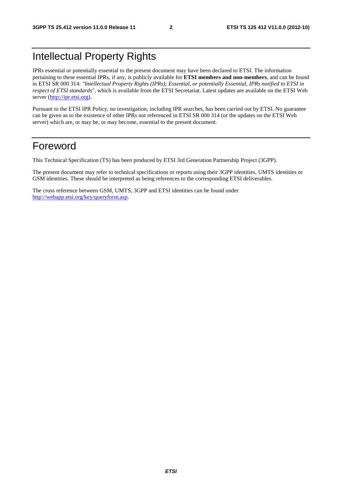### Intellectual Property Rights

IPRs essential or potentially essential to the present document may have been declared to ETSI. The information pertaining to these essential IPRs, if any, is publicly available for **ETSI members and non-members**, and can be found in ETSI SR 000 314: *"Intellectual Property Rights (IPRs); Essential, or potentially Essential, IPRs notified to ETSI in respect of ETSI standards"*, which is available from the ETSI Secretariat. Latest updates are available on the ETSI Web server [\(http://ipr.etsi.org](http://webapp.etsi.org/IPR/home.asp)).

Pursuant to the ETSI IPR Policy, no investigation, including IPR searches, has been carried out by ETSI. No guarantee can be given as to the existence of other IPRs not referenced in ETSI SR 000 314 (or the updates on the ETSI Web server) which are, or may be, or may become, essential to the present document.

### Foreword

This Technical Specification (TS) has been produced by ETSI 3rd Generation Partnership Project (3GPP).

The present document may refer to technical specifications or reports using their 3GPP identities, UMTS identities or GSM identities. These should be interpreted as being references to the corresponding ETSI deliverables.

The cross reference between GSM, UMTS, 3GPP and ETSI identities can be found under [http://webapp.etsi.org/key/queryform.asp.](http://webapp.etsi.org/key/queryform.asp)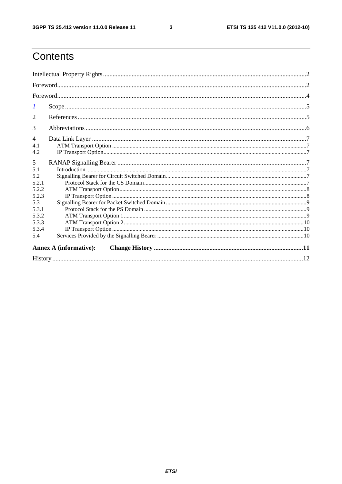$\mathbf{3}$ 

## Contents

| 1              |                               |  |  |  |  |  |
|----------------|-------------------------------|--|--|--|--|--|
| 2              |                               |  |  |  |  |  |
| 3              |                               |  |  |  |  |  |
| $\overline{4}$ |                               |  |  |  |  |  |
| 4.1<br>4.2     |                               |  |  |  |  |  |
| 5              |                               |  |  |  |  |  |
| 5.1            |                               |  |  |  |  |  |
| 5.2            |                               |  |  |  |  |  |
| 5.2.1          |                               |  |  |  |  |  |
| 5.2.2          |                               |  |  |  |  |  |
| 5.2.3          |                               |  |  |  |  |  |
| 5.3            |                               |  |  |  |  |  |
| 5.3.1          |                               |  |  |  |  |  |
| 5.3.2          |                               |  |  |  |  |  |
| 5.3.3          |                               |  |  |  |  |  |
| 5.3.4          |                               |  |  |  |  |  |
| 5.4            |                               |  |  |  |  |  |
|                | <b>Annex A (informative):</b> |  |  |  |  |  |
|                |                               |  |  |  |  |  |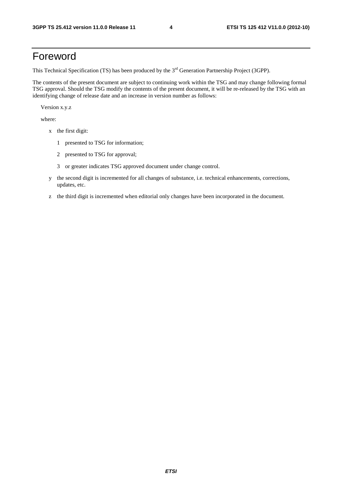### Foreword

This Technical Specification (TS) has been produced by the 3<sup>rd</sup> Generation Partnership Project (3GPP).

The contents of the present document are subject to continuing work within the TSG and may change following formal TSG approval. Should the TSG modify the contents of the present document, it will be re-released by the TSG with an identifying change of release date and an increase in version number as follows:

Version x.y.z

where:

- x the first digit:
	- 1 presented to TSG for information;
	- 2 presented to TSG for approval;
	- 3 or greater indicates TSG approved document under change control.
- y the second digit is incremented for all changes of substance, i.e. technical enhancements, corrections, updates, etc.
- z the third digit is incremented when editorial only changes have been incorporated in the document.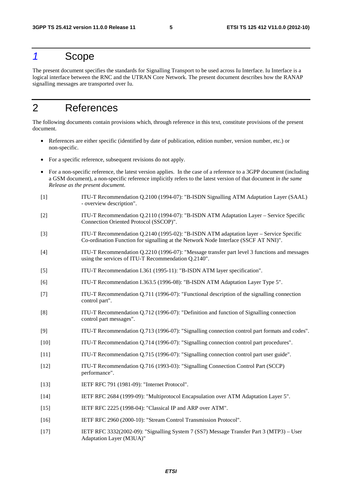### *1* Scope

The present document specifies the standards for Signalling Transport to be used across Iu Interface. Iu Interface is a logical interface between the RNC and the UTRAN Core Network. The present document describes how the RANAP signalling messages are transported over Iu.

### 2 References

The following documents contain provisions which, through reference in this text, constitute provisions of the present document.

- References are either specific (identified by date of publication, edition number, version number, etc.) or non-specific.
- For a specific reference, subsequent revisions do not apply.
- For a non-specific reference, the latest version applies. In the case of a reference to a 3GPP document (including a GSM document), a non-specific reference implicitly refers to the latest version of that document *in the same Release as the present document*.
- [1] ITU-T Recommendation Q.2100 (1994-07): "B-ISDN Signalling ATM Adaptation Layer (SAAL) - overview description".
- [2] ITU-T Recommendation Q.2110 (1994-07): "B-ISDN ATM Adaptation Layer Service Specific Connection Oriented Protocol (SSCOP)".
- [3] ITU-T Recommendation Q.2140 (1995-02): "B-ISDN ATM adaptation layer Service Specific Co-ordination Function for signalling at the Network Node Interface (SSCF AT NNI)".
- [4] ITU-T Recommendation Q.2210 (1996-07): "Message transfer part level 3 functions and messages using the services of ITU-T Recommendation Q.2140".
- [5] ITU-T Recommendation I.361 (1995-11): "B-ISDN ATM layer specification".
- [6] ITU-T Recommendation I.363.5 (1996-08): "B-ISDN ATM Adaptation Layer Type 5".
- [7] ITU-T Recommendation Q.711 (1996-07): "Functional description of the signalling connection control part".
- [8] ITU-T Recommendation Q.712 (1996-07): "Definition and function of Signalling connection control part messages".
- [9] ITU-T Recommendation Q.713 (1996-07): "Signalling connection control part formats and codes".
- [10] ITU-T Recommendation Q.714 (1996-07): "Signalling connection control part procedures".
- [11] ITU-T Recommendation Q.715 (1996-07): "Signalling connection control part user guide".
- [12] ITU-T Recommendation Q.716 (1993-03): "Signalling Connection Control Part (SCCP) performance".
- [13] **IETF RFC 791 (1981-09): "Internet Protocol".**
- [14] IETF RFC 2684 (1999-09): "Multiprotocol Encapsulation over ATM Adaptation Layer 5".
- [15] IETF RFC 2225 (1998-04): "Classical IP and ARP over ATM".
- [16] IETF RFC 2960 (2000-10): "Stream Control Transmission Protocol".
- [17] IETF RFC 3332(2002-09): "Signalling System 7 (SS7) Message Transfer Part 3 (MTP3) User Adaptation Layer (M3UA)"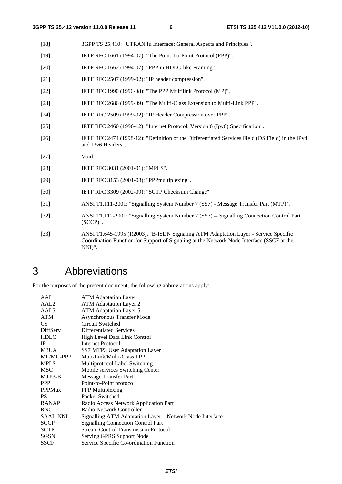- [18] 3GPP TS 25.410: "UTRAN Iu Interface: General Aspects and Principles".
- [19] IETF RFC 1661 (1994-07): "The Point-To-Point Protocol (PPP)".
- [20] IETF RFC 1662 (1994-07): "PPP in HDLC-like Framing".
- [21] **IETF RFC 2507 (1999-02): "IP header compression".**
- [22] IETF RFC 1990 (1996-08): "The PPP Multilink Protocol (MP)".
- [23] IETF RFC 2686 (1999-09): "The Multi-Class Extension to Multi-Link PPP".
- [24] IETF RFC 2509 (1999-02): "IP Header Compression over PPP".
- [25] IETF RFC 2460 (1996-12): "Internet Protocol, Version 6 (Ipv6) Specification".
- [26] IETF RFC 2474 (1998-12): "Definition of the Differentiated Services Field (DS Field) in the IPv4 and IPv6 Headers".
- [27] Void.
- [28] IETF RFC 3031 (2001-01): "MPLS".
- [29] **IETF RFC 3153 (2001-08): "PPPmultiplexing".**
- [30] IETF RFC 3309 (2002-09): "SCTP Checksum Change".
- [31] ANSI T1.111-2001: "Signalling System Number 7 (SS7) Message Transfer Part (MTP)".
- [32] ANSI T1.112-2001: "Signalling System Number 7 (SS7) -- Signalling Connection Control Part (SCCP)".
- [33] ANSI T1.645-1995 (R2003), "B-ISDN Signaling ATM Adaptation Layer Service Specific Coordination Function for Support of Signaling at the Network Node Interface (SSCF at the NNI)".

### 3 Abbreviations

For the purposes of the present document, the following abbreviations apply:

| AAL              | <b>ATM Adaptation Layer</b>                              |  |  |  |
|------------------|----------------------------------------------------------|--|--|--|
| AAL <sub>2</sub> | <b>ATM</b> Adaptation Layer 2                            |  |  |  |
| AAL5             | <b>ATM Adaptation Layer 5</b>                            |  |  |  |
| ATM              | <b>Asynchronous Transfer Mode</b>                        |  |  |  |
| CS.              | Circuit Switched                                         |  |  |  |
| DiffServ         | Differentiated Services                                  |  |  |  |
| <b>HDLC</b>      | High Level Data Link Control                             |  |  |  |
| IP               | <b>Internet Protocol</b>                                 |  |  |  |
| M3UA             | SS7 MTP3 User Adaptation Layer                           |  |  |  |
| ML/MC-PPP        | Muti-Link/Multi-Class PPP                                |  |  |  |
| <b>MPLS</b>      | Multiprotocol Label Switching                            |  |  |  |
| <b>MSC</b>       | Mobile services Switching Center                         |  |  |  |
| MTP3-B           | Message Transfer Part                                    |  |  |  |
| <b>PPP</b>       | Point-to-Point protocol                                  |  |  |  |
| <b>PPPMux</b>    | PPP Multiplexing                                         |  |  |  |
| PS.              | Packet Switched                                          |  |  |  |
| <b>RANAP</b>     | Radio Access Network Application Part                    |  |  |  |
| <b>RNC</b>       | Radio Network Controller                                 |  |  |  |
| <b>SAAL-NNI</b>  | Signalling ATM Adaptation Layer - Network Node Interface |  |  |  |
| <b>SCCP</b>      | <b>Signalling Connection Control Part</b>                |  |  |  |
| <b>SCTP</b>      | <b>Stream Control Transmission Protocol</b>              |  |  |  |
| SGSN             | Serving GPRS Support Node                                |  |  |  |
| SSCF             | Service Specific Co-ordination Function                  |  |  |  |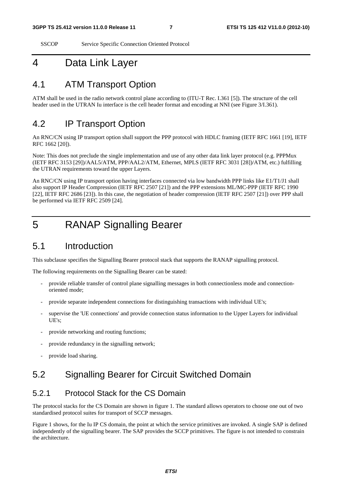SSCOP Service Specific Connection Oriented Protocol

### 4 Data Link Layer

### 4.1 ATM Transport Option

ATM shall be used in the radio network control plane according to (ITU-T Rec. I.361 [5]). The structure of the cell header used in the UTRAN Iu interface is the cell header format and encoding at NNI (see Figure 3/I.361).

### 4.2 IP Transport Option

An RNC/CN using IP transport option shall support the PPP protocol with HDLC framing (IETF RFC 1661 [19], IETF RFC 1662 [20]).

Note: This does not preclude the single implementation and use of any other data link layer protocol (e.g. PPPMux (IETF RFC 3153 [29])/AAL5/ATM, PPP/AAL2/ATM, Ethernet, MPLS (IETF RFC 3031 [28])/ATM, etc.) fulfilling the UTRAN requirements toward the upper Layers.

An RNC/CN using IP transport option having interfaces connected via low bandwidth PPP links like E1/T1/J1 shall also support IP Header Compression (IETF RFC 2507 [21]) and the PPP extensions ML/MC-PPP (IETF RFC 1990 [22], IETF RFC 2686 [23]). In this case, the negotiation of header compression (IETF RFC 2507 [21]) over PPP shall be performed via IETF RFC 2509 [24].

### 5 RANAP Signalling Bearer

### 5.1 Introduction

This subclause specifies the Signalling Bearer protocol stack that supports the RANAP signalling protocol.

The following requirements on the Signalling Bearer can be stated:

- provide reliable transfer of control plane signalling messages in both connectionless mode and connectionoriented mode;
- provide separate independent connections for distinguishing transactions with individual UE's;
- supervise the 'UE connections' and provide connection status information to the Upper Layers for individual UE's;
- provide networking and routing functions;
- provide redundancy in the signalling network;
- provide load sharing.

### 5.2 Signalling Bearer for Circuit Switched Domain

#### 5.2.1 Protocol Stack for the CS Domain

The protocol stacks for the CS Domain are shown in figure 1. The standard allows operators to choose one out of two standardised protocol suites for transport of SCCP messages.

Figure 1 shows, for the Iu IP CS domain, the point at which the service primitives are invoked. A single SAP is defined independently of the signalling bearer. The SAP provides the SCCP primitives. The figure is not intended to constrain the architecture.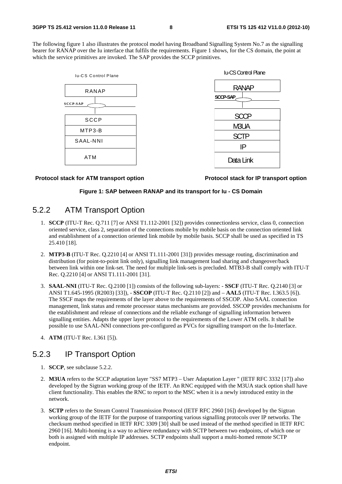The following figure 1 also illustrates the protocol model having Broadband Signalling System No.7 as the signalling bearer for RANAP over the Iu interface that fulfils the requirements. Figure 1 shows, for the CS domain, the point at which the service primitives are invoked. The SAP provides the SCCP primitives.





#### **Protocol stack for ATM transport option Protocol stack for IP transport option**

#### **Figure 1: SAP between RANAP and its transport for Iu - CS Domain**

#### 5.2.2 ATM Transport Option

- 1. **SCCP** (ITU-T Rec. Q.711 [7] or ANSI T1.112-2001 [32]) provides connectionless service, class 0, connection oriented service, class 2, separation of the connections mobile by mobile basis on the connection oriented link and establishment of a connection oriented link mobile by mobile basis. SCCP shall be used as specified in TS 25.410 [18].
- 2. **MTP3-B** (ITU-T Rec. Q.2210 [4] or ANSI T1.111-2001 [31]) provides message routing, discrimination and distribution (for point-to-point link only), signalling link management load sharing and changeover/back between link within one link-set. The need for multiple link-sets is precluded. MTB3-B shall comply with ITU-T Rec. Q.2210 [4] or ANSI T1.111-2001 [31].
- 3. **SAAL-NNI** (ITU-T Rec. Q.2100 [1]) consists of the following sub-layers: **SSCF** (ITU-T Rec. Q.2140 [3] or ANSI T1.645-1995 (R2003) [33]), - **SSCOP** (ITU-T Rec. Q.2110 [2]) and – **AAL5** (ITU-T Rec. I.363.5 [6]). The SSCF maps the requirements of the layer above to the requirements of SSCOP. Also SAAL connection management, link status and remote processor status mechanisms are provided. SSCOP provides mechanisms for the establishment and release of connections and the reliable exchange of signalling information between signalling entities. Adapts the upper layer protocol to the requirements of the Lower ATM cells. It shall be possible to use SAAL-NNI connections pre-configured as PVCs for signalling transport on the Iu-Interface.
- 4. **ATM** (ITU-T Rec. I.361 [5]).

### 5.2.3 IP Transport Option

- 1. **SCCP**, see subclause 5.2.2.
- 2. **M3UA** refers to the SCCP adaptation layer "SS7 MTP3 User Adaptation Layer " (IETF RFC 3332 [17]) also developed by the Sigtran working group of the IETF. An RNC equipped with the M3UA stack option shall have client functionality. This enables the RNC to report to the MSC when it is a newly introduced entity in the network.
- 3. **SCTP** refers to the Stream Control Transmission Protocol (IETF RFC 2960 [16]) developed by the Sigtran working group of the IETF for the purpose of transporting various signalling protocols over IP networks. The checksum method specified in IETF RFC 3309 [30] shall be used instead of the method specified in IETF RFC 2960 [16]. Multi-homing is a way to achieve redundancy with SCTP between two endpoints, of which one or both is assigned with multiple IP addresses. SCTP endpoints shall support a multi-homed remote SCTP endpoint.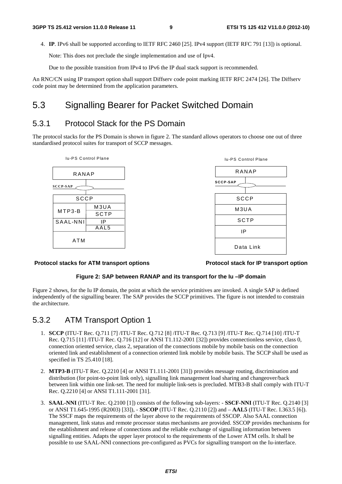4. **IP**. IPv6 shall be supported according to IETF RFC 2460 [25]. IPv4 support (IETF RFC 791 [13]) is optional.

Note: This does not preclude the single implementation and use of Ipv4.

Due to the possible transition from IPv4 to IPv6 the IP dual stack support is recommended.

An RNC/CN using IP transport option shall support Diffserv code point marking IETF RFC 2474 [26]. The Diffserv code point may be determined from the application parameters.

### 5.3 Signalling Bearer for Packet Switched Domain

### 5.3.1 Protocol Stack for the PS Domain

The protocol stacks for the PS Domain is shown in figure 2. The standard allows operators to choose one out of three standardised protocol suites for transport of SCCP messages.



#### **Protocol stacks for ATM transport options Protocol stack for IP transport option**

#### **Figure 2: SAP between RANAP and its transport for the Iu –IP domain**

Figure 2 shows, for the Iu IP domain, the point at which the service primitives are invoked. A single SAP is defined independently of the signalling bearer. The SAP provides the SCCP primitives. The figure is not intended to constrain the architecture.

#### 5.3.2 ATM Transport Option 1

- 1. **SCCP** (ITU-T Rec. Q.711 [7] /ITU-T Rec. Q.712 [8] /ITU-T Rec. Q.713 [9] /ITU-T Rec. Q.714 [10] /ITU-T Rec. Q.715 [11] /ITU-T Rec. Q.716 [12] or ANSI T1.112-2001 [32]) provides connectionless service, class 0, connection oriented service, class 2, separation of the connections mobile by mobile basis on the connection oriented link and establishment of a connection oriented link mobile by mobile basis. The SCCP shall be used as specified in TS 25.410 [18].
- 2. **MTP3-B** (ITU-T Rec. Q.2210 [4] or ANSI T1.111-2001 [31]) provides message routing, discrimination and distribution (for point-to-point link only), signalling link management load sharing and changeover/back between link within one link-set. The need for multiple link-sets is precluded. MTB3-B shall comply with ITU-T Rec. Q.2210 [4] or ANSI T1.111-2001 [31].
- 3. **SAAL-NNI** (ITU-T Rec. Q.2100 [1]) consists of the following sub-layers: **SSCF-NNI** (ITU-T Rec. Q.2140 [3] or ANSI T1.645-1995 (R2003) [33]), - **SSCOP** (ITU-T Rec. Q.2110 [2]) and – **AAL5** (ITU-T Rec. I.363.5 [6]). The SSCF maps the requirements of the layer above to the requirements of SSCOP. Also SAAL connection management, link status and remote processor status mechanisms are provided. SSCOP provides mechanisms for the establishment and release of connections and the reliable exchange of signalling information between signalling entities. Adapts the upper layer protocol to the requirements of the Lower ATM cells. It shall be possible to use SAAL-NNI connections pre-configured as PVCs for signalling transport on the Iu-interface.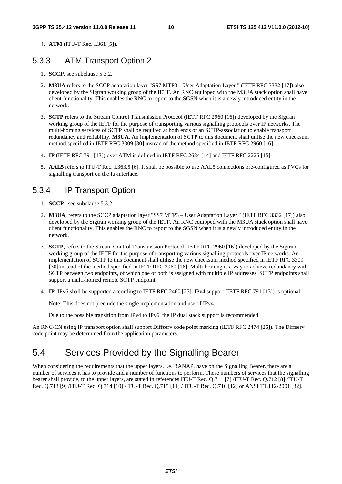4. **ATM** (ITU-T Rec. I.361 [5]).

#### 5.3.3 ATM Transport Option 2

- 1. **SCCP**, see subclause 5.3.2.
- 2. **M3UA** refers to the SCCP adaptation layer "SS7 MTP3 User Adaptation Layer " (IETF RFC 3332 [17]) also developed by the Sigtran working group of the IETF. An RNC equipped with the M3UA stack option shall have client functionality. This enables the RNC to report to the SGSN when it is a newly introduced entity in the network.
- 3. **SCTP** refers to the Stream Control Transmission Protocol (IETF RFC 2960 [16]) developed by the Sigtran working group of the IETF for the purpose of transporting various signalling protocols over IP networks. The multi-homing services of SCTP shall be required at both ends of an SCTP-association to enable transport redundancy and reliability. **M3UA**. An implementation of SCTP to this document shall utilise the new checksum method specified in IETF RFC 3309 [30] instead of the method specified in IETF RFC 2960 [16].
- 4. **IP** (IETF RFC 791 [13]) over ATM is defined in IETF RFC 2684 [14] and IETF RFC 2225 [15].
- 5. **AAL5** refers to ITU-T Rec. I.363.5 [6]. It shall be possible to use AAL5 connections pre-configured as PVCs for signalling transport on the Iu-interface.

### 5.3.4 IP Transport Option

- 1. **SCCP** , see subclause 5.3.2.
- 2. **M3UA**, refers to the SCCP adaptation layer "SS7 MTP3 User Adaptation Layer " (IETF RFC 3332 [17]) also developed by the Sigtran working group of the IETF. An RNC equipped with the M3UA stack option shall have client functionality. This enables the RNC to report to the SGSN when it is a newly introduced entity in the network.
- 3. **SCTP**, refers to the Stream Control Transmission Protocol (IETF RFC 2960 [16]) developed by the Sigtran working group of the IETF for the purpose of transporting various signalling protocols over IP networks. An implementation of SCTP to this document shall utilise the new checksum method specified in IETF RFC 3309 [30] instead of the method specified in IETF RFC 2960 [16]. Multi-homing is a way to achieve redundancy with SCTP between two endpoints, of which one or both is assigned with multiple IP addresses. SCTP endpoints shall support a multi-homed remote SCTP endpoint.
- 4. **IP**. IPv6 shall be supported according to IETF RFC 2460 [25]. IPv4 support (IETF RFC 791 [13]) is optional.

Note: This does not preclude the single implementation and use of IPv4.

Due to the possible transition from IPv4 to IPv6, the IP dual stack support is recommended.

An RNC/CN using IP transport option shall support Diffserv code point marking (IETF RFC 2474 [26]). The Diffserv code point may be determined from the application parameters.

### 5.4 Services Provided by the Signalling Bearer

When considering the requirements that the upper layers, i.e. RANAP, have on the Signalling Bearer, there are a number of services it has to provide and a number of functions to perform. These numbers of services that the signalling bearer shall provide, to the upper layers, are stated in references ITU-T Rec. Q.711 [7] /ITU-T Rec. Q.712 [8] /ITU-T Rec. Q.713 [9] /ITU-T Rec. Q.714 [10] /ITU-T Rec. Q.715 [11] / ITU-T Rec. Q.716 [12] or ANSI T1.112-2001 [32].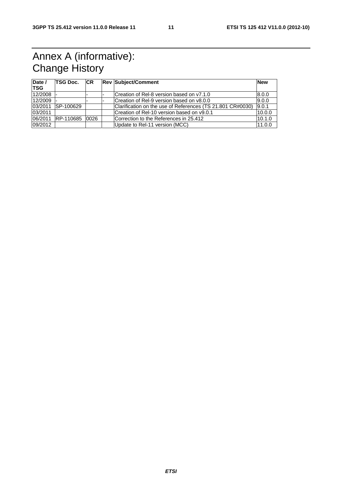## Annex A (informative): Change History

| Date /<br><b>TSG</b> | TSG Doc.          | <b>ICR</b> | <b>Rev Subject/Comment</b>                                 | <b>New</b> |
|----------------------|-------------------|------------|------------------------------------------------------------|------------|
| $12/2008$ -          |                   |            | Creation of Rel-8 version based on v7.1.0                  | 8.0.0      |
| 12/2009              |                   |            | Creation of Rel-9 version based on v8.0.0                  | 9.0.0      |
| 03/2011              | ISP-100629        |            | Clarification on the use of References (TS 21.801 CR#0030) | 9.0.1      |
| 03/2011              |                   |            | Creation of Rel-10 version based on v9.0.1                 | 10.0.0     |
|                      | 06/2011 RP-110685 | 0026       | Correction to the References in 25.412                     | 10.1.0     |
| 09/2012              |                   |            | Update to Rel-11 version (MCC)                             | 11.0.0     |